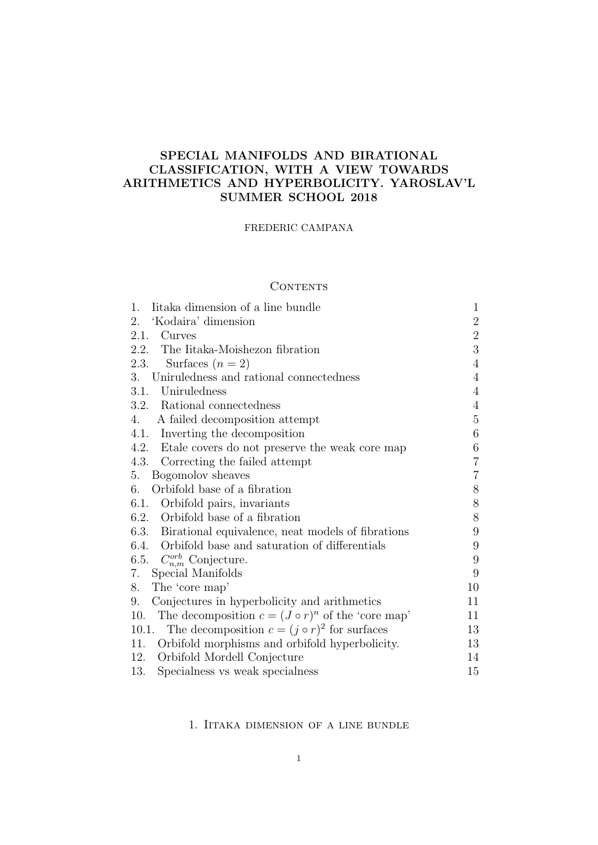# SPECIAL MANIFOLDS AND BIRATIONAL CLASSIFICATION, WITH A VIEW TOWARDS ARITHMETICS AND HYPERBOLICITY. YAROSLAV'L SUMMER SCHOOL 2018

### FREDERIC CAMPANA

### **CONTENTS**

| 1.<br>Itaka dimension of a line bundle                         | 1              |
|----------------------------------------------------------------|----------------|
| 'Kodaira' dimension<br>2.                                      | $\overline{2}$ |
| 2.1.<br>Curves                                                 | $\overline{2}$ |
| 2.2. The Iitaka-Moishezon fibration                            | 3              |
| Surfaces $(n=2)$<br>2.3.                                       | $\overline{4}$ |
| 3. Uniruledness and rational connectedness                     | $\overline{4}$ |
| 3.1. Uniruledness                                              | $\overline{4}$ |
| 3.2. Rational connectedness                                    | $\overline{4}$ |
| 4.<br>A failed decomposition attempt                           | 5              |
| 4.1. Inverting the decomposition                               | 6              |
| 4.2. Etale covers do not preserve the weak core map            | 6              |
| 4.3. Correcting the failed attempt                             | $\overline{7}$ |
| Bogomolov sheaves<br>5.                                        | $\overline{7}$ |
| Orbifold base of a fibration<br>6.                             | 8              |
| 6.1. Orbifold pairs, invariants                                | $8\,$          |
| 6.2. Orbifold base of a fibration                              | 8              |
| 6.3. Birational equivalence, neat models of fibrations         | 9              |
| 6.4. Orbifold base and saturation of differentials             | 9              |
| 6.5. $C_{n,m}^{orb}$ Conjecture.                               | 9              |
| 7.<br>Special Manifolds                                        | 9              |
| 8.<br>The 'core map'                                           | 10             |
| Conjectures in hyperbolicity and arithmetics<br>9.             | 11             |
| The decomposition $c = (J \circ r)^n$ of the 'core map'<br>10. | 11             |
| 10.1. The decomposition $c = (j \circ r)^2$ for surfaces       | 13             |
| Orbifold morphisms and orbifold hyperbolicity.<br>11.          | 13             |
| 12.<br>Orbifold Mordell Conjecture                             | 14             |
| 13.<br>Specialness vs weak specialness                         | 15             |

### 1. Iitaka dimension of a line bundle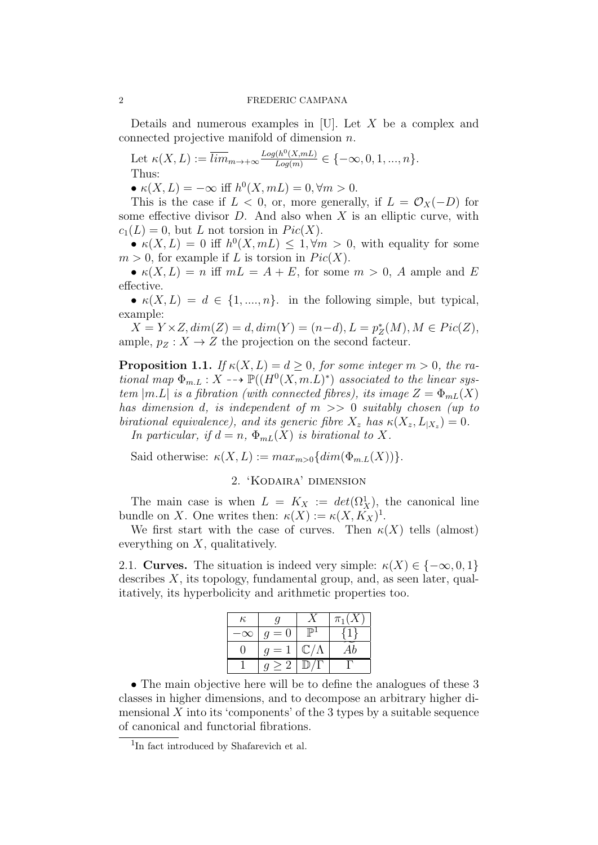Details and numerous examples in [U]. Let  $X$  be a complex and connected projective manifold of dimension n.

Let  $\kappa(X, L) := \overline{lim}_{m \to +\infty} \frac{Log(h^0(X, mL))}{Log(m)}$  $\frac{\Gamma(n^{\circ}(X,mL))}{Log(m)} \in \{-\infty,0,1,...,n\}.$ Thus:

•  $\kappa(X, L) = -\infty$  iff  $h^0(X, mL) = 0, \forall m > 0$ .

This is the case if  $L < 0$ , or, more generally, if  $L = \mathcal{O}_X(-D)$  for some effective divisor  $D$ . And also when  $X$  is an elliptic curve, with  $c_1(L) = 0$ , but L not torsion in  $Pic(X)$ .

•  $\kappa(X, L) = 0$  iff  $h^0(X, mL) \leq 1, \forall m > 0$ , with equality for some  $m > 0$ , for example if L is torsion in  $Pic(X)$ .

•  $\kappa(X, L) = n$  iff  $mL = A + E$ , for some  $m > 0$ , A ample and E effective.

•  $\kappa(X, L) = d \in \{1, ..., n\}$ . in the following simple, but typical, example:

 $X = Y \times Z, dim(Z) = d, dim(Y) = (n-d), L = p_Z^*(M), M \in Pic(Z),$ ample,  $p_Z : X \to Z$  the projection on the second facteur.

**Proposition 1.1.** If  $\kappa(X, L) = d \geq 0$ , for some integer  $m > 0$ , the rational map  $\Phi_{m,L}: X \dashrightarrow \mathbb{P}((H^0(X,m,L)^*))$  associated to the linear system  $|m.L|$  is a fibration (with connected fibres), its image  $Z = \Phi_{mL}(X)$ has dimension d, is independent of  $m \gg 0$  suitably chosen (up to birational equivalence), and its generic fibre  $X_z$  has  $\kappa(X_z, L_{|X_z}) = 0$ . In particular, if  $d = n$ ,  $\Phi_{mL}(X)$  is birational to X.

Said otherwise:  $\kappa(X, L) := max_{m>0} \{dim(\Phi_{m,L}(X))\}.$ 

# 2. 'Kodaira' dimension

The main case is when  $L = K_X := det(\Omega^1_X)$ , the canonical line bundle on X. One writes then:  $\kappa(X) := \kappa(X, K_X)^1$ .

We first start with the case of curves. Then  $\kappa(X)$  tells (almost) everything on  $X$ , qualitatively.

2.1. Curves. The situation is indeed very simple:  $\kappa(X) \in \{-\infty, 0, 1\}$ describes  $X$ , its topology, fundamental group, and, as seen later, qualitatively, its hyperbolicity and arithmetic properties too.

| $\kappa$ |       |                      | $\pi_1(X)$ |
|----------|-------|----------------------|------------|
| $\infty$ | $q=0$ | நு⊾                  |            |
| -11      | $q=1$ | $\mathbb{C}/\Lambda$ |            |
|          | >2    | ∭.                   |            |

• The main objective here will be to define the analogues of these 3 classes in higher dimensions, and to decompose an arbitrary higher dimensional  $X$  into its 'components' of the 3 types by a suitable sequence of canonical and functorial fibrations.

<sup>&</sup>lt;sup>1</sup>In fact introduced by Shafarevich et al.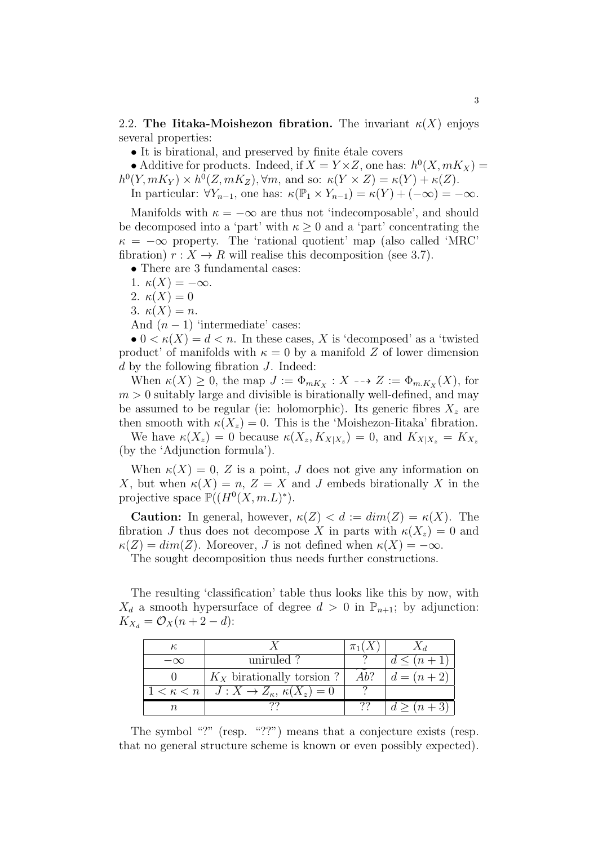2.2. The Iitaka-Moishezon fibration. The invariant  $\kappa(X)$  enjoys several properties:

• It is birational, and preserved by finite étale covers

• Additive for products. Indeed, if  $X = Y \times Z$ , one has:  $h^0(X, mK_X) =$  $h^0(Y, mK_Y) \times h^0(Z, mK_Z), \forall m$ , and so:  $\kappa(Y \times Z) = \kappa(Y) + \kappa(Z)$ . In particular:  $\forall Y_{n-1}$ , one has:  $\kappa(\mathbb{P}_1 \times Y_{n-1}) = \kappa(Y) + (-\infty) = -\infty$ .

Manifolds with  $\kappa = -\infty$  are thus not 'indecomposable', and should be decomposed into a 'part' with  $\kappa > 0$  and a 'part' concentrating the  $\kappa = -\infty$  property. The 'rational quotient' map (also called 'MRC' fibration)  $r: X \to R$  will realise this decomposition (see 3.7).

• There are 3 fundamental cases:

1.  $\kappa(X) = -\infty$ .

2.  $\kappa(X) = 0$ 

3.  $\kappa(X) = n$ .

And  $(n-1)$  'intermediate' cases:

•  $0 \lt K(X) = d \lt n$ . In these cases, X is 'decomposed' as a 'twisted product' of manifolds with  $\kappa = 0$  by a manifold Z of lower dimension  $d$  by the following fibration  $J$ . Indeed:

When  $\kappa(X) \geq 0$ , the map  $J := \Phi_{mK_X} : X \dashrightarrow Z := \Phi_{m,K_X}(X)$ , for  $m > 0$  suitably large and divisible is birationally well-defined, and may be assumed to be regular (ie: holomorphic). Its generic fibres  $X<sub>z</sub>$  are then smooth with  $\kappa(X_z) = 0$ . This is the 'Moishezon-Iitaka' fibration.

We have  $\kappa(X_z) = 0$  because  $\kappa(X_z, K_{X|X_z}) = 0$ , and  $K_{X|X_z} = K_{X_z}$ (by the 'Adjunction formula').

When  $\kappa(X) = 0$ , Z is a point, J does not give any information on X, but when  $\kappa(X) = n$ ,  $Z = X$  and J embeds birationally X in the projective space  $\mathbb{P}((H^0(X,m.L)^*)).$ 

**Caution:** In general, however,  $\kappa(Z) < d := dim(Z) = \kappa(X)$ . The fibration J thus does not decompose X in parts with  $\kappa(X_z) = 0$  and  $\kappa(Z) = dim(Z)$ . Moreover, J is not defined when  $\kappa(X) = -\infty$ .

The sought decomposition thus needs further constructions.

The resulting 'classification' table thus looks like this by now, with  $X_d$  a smooth hypersurface of degree  $d > 0$  in  $\mathbb{P}_{n+1}$ ; by adjunction:  $K_{X_d} = \mathcal{O}_X(n+2-d)$ :

|                                                            | $\pi_1(X)$ |                 |
|------------------------------------------------------------|------------|-----------------|
| uniruled?                                                  |            | $d \leq (n+1)$  |
| $K_X$ birationally torsion ?                               | Ab?        | $  d = (n + 2)$ |
| $1 < \kappa < n \mid J: X \to Z_{\kappa}, \kappa(X_z) = 0$ |            |                 |
|                                                            | 22         | $d > (n+3)$     |

The symbol "?" (resp. "??") means that a conjecture exists (resp. that no general structure scheme is known or even possibly expected).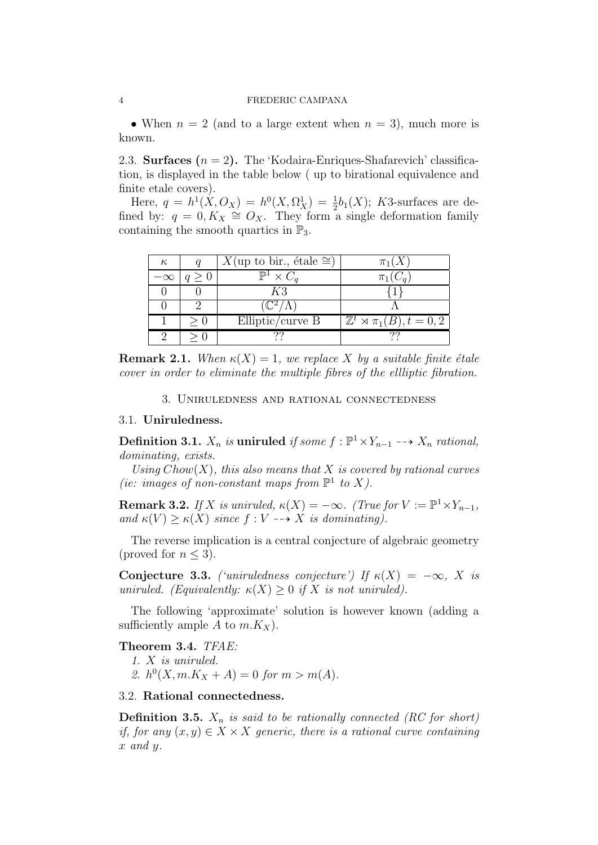#### 4 FREDERIC CAMPANA

• When  $n = 2$  (and to a large extent when  $n = 3$ ), much more is known.

2.3. **Surfaces**  $(n = 2)$ . The 'Kodaira-Enriques-Shafarevich' classification, is displayed in the table below ( up to birational equivalence and finite etale covers).

Here,  $q = h^1(X, O_X) = h^0(X, \Omega_X^1) = \frac{1}{2}b_1(X)$ ; K3-surfaces are defined by:  $q = 0, K_X \cong O_X$ . They form a single deformation family containing the smooth quartics in  $\mathbb{P}_3$ .

| к         |     | $X$ (up to bir., étale $\cong$ ) | $\pi_1(X)$                                |
|-----------|-----|----------------------------------|-------------------------------------------|
| $-\infty$ | q>0 | $\mathbb{P}^1 \times C_a$        | $\pi_1(C_a)$                              |
|           |     | K3                               |                                           |
|           |     | $\mathbb{C}^2/\Lambda$           |                                           |
|           |     | Elliptic/curve $B$               | $\mathbb{Z}^t \rtimes \pi_1(B), t = 0, 2$ |
|           |     |                                  |                                           |

**Remark 2.1.** When  $\kappa(X) = 1$ , we replace X by a suitable finite étale cover in order to eliminate the multiple fibres of the ellliptic fibration.

3. Uniruledness and rational connectedness

### 3.1. Uniruledness.

Definition 3.1.  $X_n$  is uniruled if some  $f: \mathbb{P}^1 \times Y_{n-1} \dashrightarrow X_n$  rational, dominating, exists.

Using  $Chow(X)$ , this also means that X is covered by rational curves (ie: images of non-constant maps from  $\mathbb{P}^1$  to X).

**Remark 3.2.** If X is uniruled,  $\kappa(X) = -\infty$ . (True for  $V := \mathbb{P}^1 \times Y_{n-1}$ , and  $\kappa(V) \geq \kappa(X)$  since  $f: V \dashrightarrow X$  is dominating).

The reverse implication is a central conjecture of algebraic geometry (proved for  $n \leq 3$ ).

Conjecture 3.3. ('uniruledness conjecture') If  $\kappa(X) = -\infty$ , X is uniruled. (Equivalently:  $\kappa(X) \geq 0$  if X is not uniruled).

The following 'approximate' solution is however known (adding a sufficiently ample A to  $m.K_X$ ).

Theorem 3.4. TFAE: 1. X is uniruled.

2.  $h^0(X, m.K_X + A) = 0$  for  $m > m(A)$ .

## 3.2. Rational connectedness.

**Definition 3.5.**  $X_n$  is said to be rationally connected (RC for short) if, for any  $(x, y) \in X \times X$  generic, there is a rational curve containing x and y.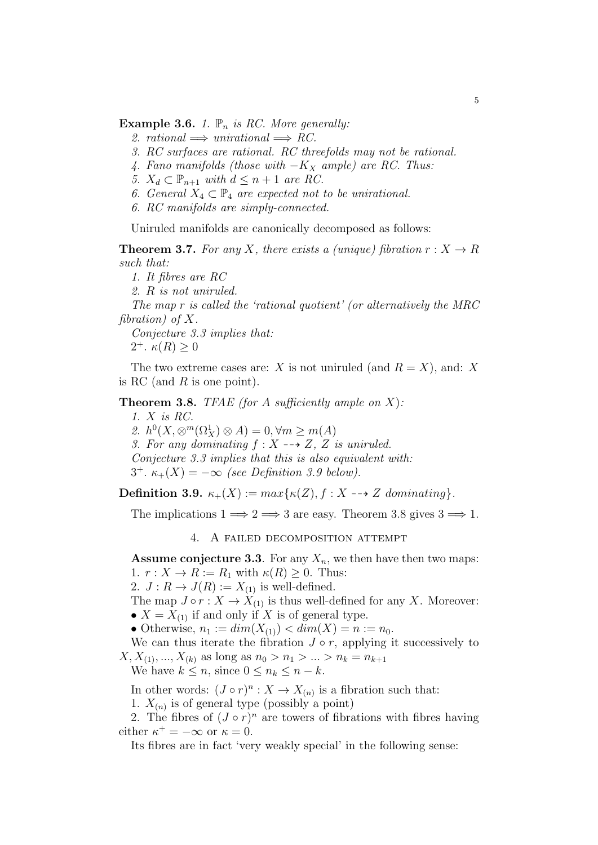**Example 3.6.** 1.  $\mathbb{P}_n$  is RC. More generally:

- 2. rational  $\implies$  unirational  $\implies RC$ .
- 3. RC surfaces are rational. RC threefolds may not be rational.
- 4. Fano manifolds (those with  $-K_X$  ample) are RC. Thus:
- 5.  $X_d \subset \mathbb{P}_{n+1}$  with  $d \leq n+1$  are RC.
- 6. General  $X_4 \subset \mathbb{P}_4$  are expected not to be unirational.
- 6. RC manifolds are simply-connected.

Uniruled manifolds are canonically decomposed as follows:

**Theorem 3.7.** For any X, there exists a (unique) fibration  $r : X \to R$ such that:

1. It fibres are RC

2. R is not uniruled.

The map r is called the 'rational quotient' (or alternatively the MRC fibration) of  $X$ .

Conjecture 3.3 implies that: 2<sup>+</sup>.  $\kappa(R) \geq 0$ 

The two extreme cases are: X is not uniruled (and  $R = X$ ), and: X is RC (and  $R$  is one point).

**Theorem 3.8.** TFAE (for A sufficiently ample on X):

1. X is RC. 2.  $h^0(X, \otimes^m(\Omega_X^1) \otimes A) = 0, \forall m \ge m(A)$ 3. For any dominating  $f: X \dashrightarrow Z$ , Z is uniruled. Conjecture 3.3 implies that this is also equivalent with: 3<sup>+</sup>.  $\kappa_+(X) = -\infty$  (see Definition 3.9 below).

Definition 3.9.  $\kappa_+(X) := max\{\kappa(Z), f : X \dashrightarrow Z \text{ dominating}\}.$ 

The implications  $1 \Longrightarrow 2 \Longrightarrow 3$  are easy. Theorem 3.8 gives  $3 \Longrightarrow 1$ .

4. A failed decomposition attempt

**Assume conjecture 3.3**. For any  $X_n$ , we then have then two maps: 1.  $r: X \to R := R_1$  with  $\kappa(R) \geq 0$ . Thus:

2.  $J: R \to J(R) := X_{(1)}$  is well-defined.

The map  $J \circ r : X \to X_{(1)}$  is thus well-defined for any X. Moreover: •  $X = X_{(1)}$  if and only if X is of general type.

• Otherwise,  $n_1 := dim(X_{(1)}) < dim(X) = n := n_0$ .

We can thus iterate the fibration  $J \circ r$ , applying it successively to  $X, X_{(1)}, ..., X_{(k)}$  as long as  $n_0 > n_1 > ... > n_k = n_{k+1}$ 

We have  $k \leq n$ , since  $0 \leq n_k \leq n - k$ .

In other words:  $(J \circ r)^n : X \to X_{(n)}$  is a fibration such that:

1.  $X_{(n)}$  is of general type (possibly a point)

2. The fibres of  $(J \circ r)^n$  are towers of fibrations with fibres having either  $\kappa^+ = -\infty$  or  $\kappa = 0$ .

Its fibres are in fact 'very weakly special' in the following sense: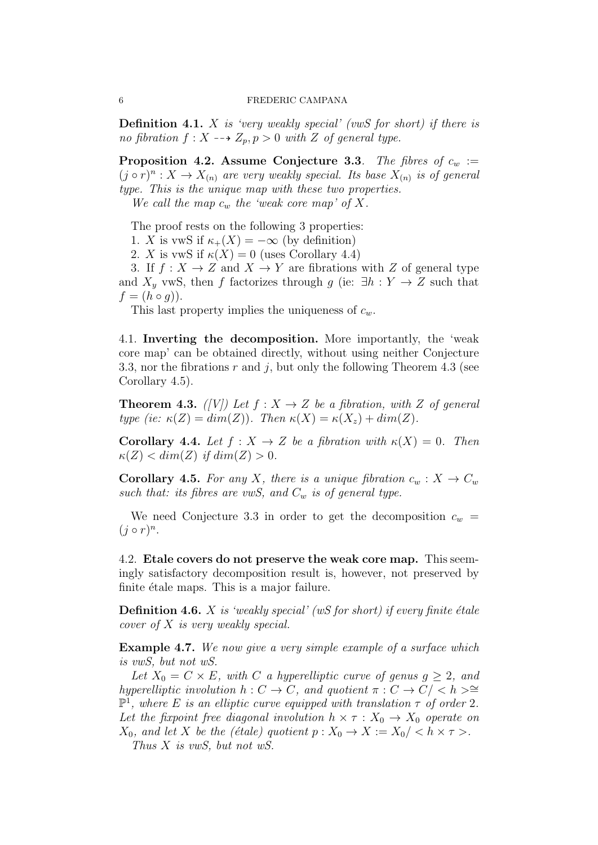**Definition 4.1.** X is 'very weakly special' (vwS for short) if there is no fibration  $f: X \dashrightarrow Z_p, p > 0$  with Z of general type.

**Proposition 4.2. Assume Conjecture 3.3.** The fibres of  $c_w$  :=  $(j \circ r)^n : X \to X_{(n)}$  are very weakly special. Its base  $X_{(n)}$  is of general type. This is the unique map with these two properties.

We call the map  $c_w$  the 'weak core map' of X.

The proof rests on the following 3 properties:

1. X is vwS if  $\kappa_+(X) = -\infty$  (by definition)

2. X is vwS if  $\kappa(X) = 0$  (uses Corollary 4.4)

3. If  $f: X \to Z$  and  $X \to Y$  are fibrations with Z of general type and  $X<sub>y</sub>$  vwS, then f factorizes through g (ie:  $\exists h: Y \to Z$  such that  $f = (h \circ g)$ .

This last property implies the uniqueness of  $c_w$ .

4.1. Inverting the decomposition. More importantly, the 'weak core map' can be obtained directly, without using neither Conjecture 3.3, nor the fibrations  $r$  and  $j$ , but only the following Theorem 4.3 (see Corollary 4.5).

**Theorem 4.3.** ([V]) Let  $f: X \to Z$  be a fibration, with Z of general type (ie:  $\kappa(Z) = dim(Z)$ ). Then  $\kappa(X) = \kappa(X_z) + dim(Z)$ .

**Corollary 4.4.** Let  $f : X \to Z$  be a fibration with  $\kappa(X) = 0$ . Then  $\kappa(Z) < dim(Z)$  if  $dim(Z) > 0$ .

**Corollary 4.5.** For any X, there is a unique fibration  $c_w : X \to C_w$ such that: its fibres are vwS, and  $C_w$  is of general type.

We need Conjecture 3.3 in order to get the decomposition  $c_w$  =  $(j \circ r)^n$ .

4.2. Etale covers do not preserve the weak core map. This seemingly satisfactory decomposition result is, however, not preserved by finite étale maps. This is a major failure.

**Definition 4.6.**  $X$  is 'weakly special' (wS for short) if every finite étale cover of X is very weakly special.

Example 4.7. We now give a very simple example of a surface which is vwS, but not wS.

Let  $X_0 = C \times E$ , with C a hyperelliptic curve of genus  $g \geq 2$ , and hyperelliptic involution  $h: C \to C$ , and quotient  $\pi: C \to C / < h > \cong$  $\mathbb{P}^1$ , where E is an elliptic curve equipped with translation  $\tau$  of order 2. Let the fixpoint free diagonal involution  $h \times \tau : X_0 \to X_0$  operate on  $X_0$ , and let X be the (étale) quotient  $p : X_0 \to X := X_0 / \langle h \times \tau \rangle$ .

Thus X is vwS, but not wS.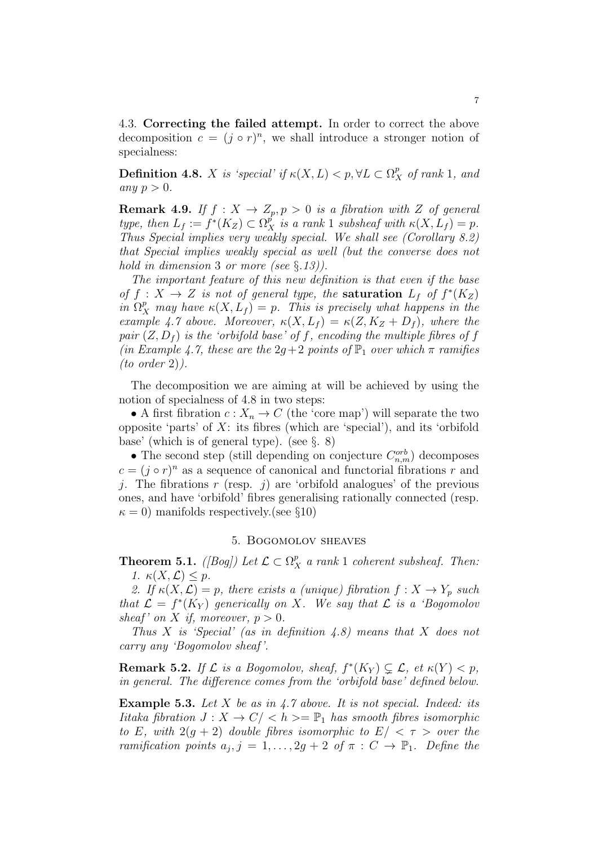4.3. Correcting the failed attempt. In order to correct the above decomposition  $c = (j \circ r)^n$ , we shall introduce a stronger notion of specialness:

**Definition 4.8.** X is 'special' if  $\kappa(X, L) < p$ ,  $\forall L \subset \Omega_X^p$  of rank 1, and any  $p > 0$ .

**Remark 4.9.** If  $f : X \to Z_p, p > 0$  is a fibration with Z of general type, then  $L_f := f^*(K_Z) \subset \Omega^p_X$  is a rank 1 subsheaf with  $\kappa(X, L_f) = p$ . Thus Special implies very weakly special. We shall see (Corollary 8.2) that Special implies weakly special as well (but the converse does not hold in dimension 3 or more (see  $\S.13$ ).

The important feature of this new definition is that even if the base of  $f: X \to Z$  is not of general type, the **saturation**  $L_f$  of  $f^*(K_Z)$ in  $\Omega_X^p$  may have  $\kappa(X, L_f) = p$ . This is precisely what happens in the example 4.7 above. Moreover,  $\kappa(X, L_f) = \kappa(Z, K_Z + D_f)$ , where the pair  $(Z, D_f)$  is the 'orbifold base' of f, encoding the multiple fibres of f (in Example 4.7, these are the  $2g+2$  points of  $\mathbb{P}_1$  over which  $\pi$  ramifies  $(to\ order\ 2)$ .

The decomposition we are aiming at will be achieved by using the notion of specialness of 4.8 in two steps:

• A first fibration  $c: X_n \to C$  (the 'core map') will separate the two opposite 'parts' of  $X$ : its fibres (which are 'special'), and its 'orbifold base' (which is of general type). (see §. 8)

• The second step (still depending on conjecture  $C_{n,m}^{orb}$ ) decomposes  $c = (j \circ r)^n$  as a sequence of canonical and functorial fibrations r and j. The fibrations r (resp. j) are 'orbifold analogues' of the previous ones, and have 'orbifold' fibres generalising rationally connected (resp.  $\kappa = 0$ ) manifolds respectively. (see §10)

### 5. Bogomolov sheaves

**Theorem 5.1.** ([Bog]) Let  $\mathcal{L} \subset \Omega_X^p$  a rank 1 coherent subsheaf. Then: 1.  $\kappa(X, \mathcal{L}) \leq p$ .

2. If  $\kappa(X, \mathcal{L}) = p$ , there exists a (unique) fibration  $f: X \to Y_p$  such that  $\mathcal{L} = f^*(K_Y)$  generically on X. We say that  $\mathcal{L}$  is a 'Bogomolov sheaf' on X if, moreover,  $p > 0$ .

Thus X is 'Special' (as in definition  $(4.8)$ ) means that X does not carry any 'Bogomolov sheaf '.

**Remark 5.2.** If  $\mathcal{L}$  is a Bogomolov, sheaf,  $f^*(K_Y) \subsetneq \mathcal{L}$ , et  $\kappa(Y) < p$ , in general. The difference comes from the 'orbifold base' defined below.

**Example 5.3.** Let  $X$  be as in  $4.7$  above. It is not special. Indeed: its Iitaka fibration  $J: X \to C / \langle h \rangle = \mathbb{P}_1$  has smooth fibres isomorphic to E, with  $2(g + 2)$  double fibres isomorphic to  $E / \langle \tau \rangle$  over the ramification points  $a_j, j = 1, \ldots, 2g + 2$  of  $\pi : C \to \mathbb{P}_1$ . Define the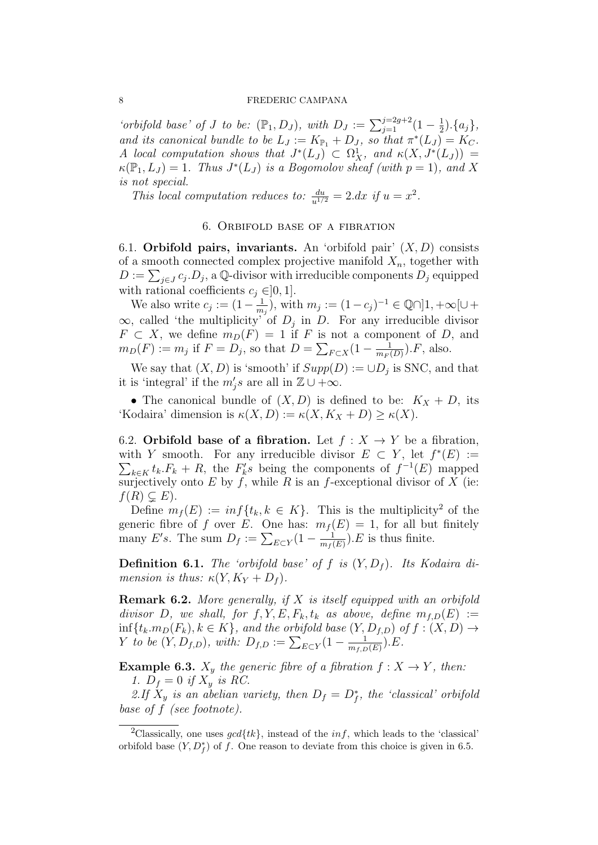#### 8 FREDERIC CAMPANA

'orbifold base' of J to be:  $(\mathbb{P}_1, D_J)$ , with  $D_J := \sum_{j=1}^{j=2g+2} (1 - \frac{1}{2})$  $(\frac{1}{2}).\{a_j\},\}$ and its canonical bundle to be  $L_J := K_{\mathbb{P}_1} + D_J$ , so that  $\pi^*(L_J) = K_C$ . A local computation shows that  $J^*(L_J) \subset \Omega^1_X$ , and  $\kappa(X, J^*(L_J)) =$  $\kappa(\mathbb{P}_1, L_J) = 1$ . Thus  $J^*(L_J)$  is a Bogomolov sheaf (with  $p = 1$ ), and X is not special.

This local computation reduces to:  $\frac{du}{u^{1/2}} = 2. dx$  if  $u = x^2$ .

### 6. Orbifold base of a fibration

6.1. Orbifold pairs, invariants. An 'orbifold pair'  $(X, D)$  consists of a smooth connected complex projective manifold  $X_n$ , together with  $D := \sum_{j \in J} c_j D_j$ , a Q-divisor with irreducible components  $D_j$  equipped with rational coefficients  $c_j \in ]0,1]$ .

We also write  $c_j := (1 - \frac{1}{m})$  $\frac{1}{m_j}$ , with  $m_j := (1 - c_j)^{-1} \in \mathbb{Q} \cap ]1, +\infty[ \cup +$  $\infty$ , called 'the multiplicity' of  $D_j$  in D. For any irreducible divisor  $F \subset X$ , we define  $m_D(F) = 1$  if F is not a component of D, and  $m_D(F) := m_j$  if  $F = D_j$ , so that  $D = \sum_{F \subset X} (1 - \frac{1}{m_F G})$  $\frac{1}{m_F(D)}$ ). F, also.

We say that  $(X, D)$  is 'smooth' if  $Supp(D) := \cup D_j$  is SNC, and that it is 'integral' if the  $m'_j s$  are all in  $\mathbb{Z} \cup +\infty$ .

• The canonical bundle of  $(X, D)$  is defined to be:  $K_X + D$ , its 'Kodaira' dimension is  $\kappa(X, D) := \kappa(X, K_X + D) \geq \kappa(X)$ .

6.2. Orbifold base of a fibration. Let  $f: X \to Y$  be a fibration, with Y smooth. For any irreducible divisor  $E \subset Y$ , let  $f^*(E) :=$  $\sum_{k \in K} t_k.F_k + R$ , the  $F'_ks$  being the components of  $f^{-1}(E)$  mapped surjectively onto E by f, while R is an f-exceptional divisor of X (ie:  $f(R) \subsetneq E$ .

Define  $m_f(E) := inf\{t_k, k \in K\}$ . This is the multiplicity<sup>2</sup> of the generic fibre of f over E. One has:  $m_f(E) = 1$ , for all but finitely many E's. The sum  $D_f := \sum_{E \subset Y} (1 - \frac{1}{m_f})$  $\frac{1}{m_f(E)}$ ). E is thus finite.

**Definition 6.1.** The 'orbifold base' of f is  $(Y, D_f)$ . Its Kodaira dimension is thus:  $\kappa(Y, K_Y + D_f)$ .

**Remark 6.2.** More generally, if  $X$  is itself equipped with an orbifold divisor D, we shall, for  $f, Y, E, F_k, t_k$  as above, define  $m_{f,D}(E) :=$  $\inf\{t_k.m_D(F_k), k \in K\}$ , and the orbifold base  $(Y, D_{f,D})$  of  $f : (X, D) \to$ Y to be  $(Y, D_{f,D})$ , with:  $D_{f,D} := \sum_{E \subset Y} (1 - \frac{1}{m_{f,D}})$  $\frac{1}{m_{f,D}(E)}$ ). $E$ .

**Example 6.3.**  $X_y$  the generic fibre of a fibration  $f : X \to Y$ , then: 1.  $D_f = 0$  if  $X_y$  is RC.

2.If  $X_y$  is an abelian variety, then  $D_f = D_f^*$ , the 'classical' orbifold base of f (see footnote).

<sup>&</sup>lt;sup>2</sup>Classically, one uses  $\gcd\{tk\}$ , instead of the *inf*, which leads to the 'classical' orbifold base  $(Y, D_f^*)$  of f. One reason to deviate from this choice is given in 6.5.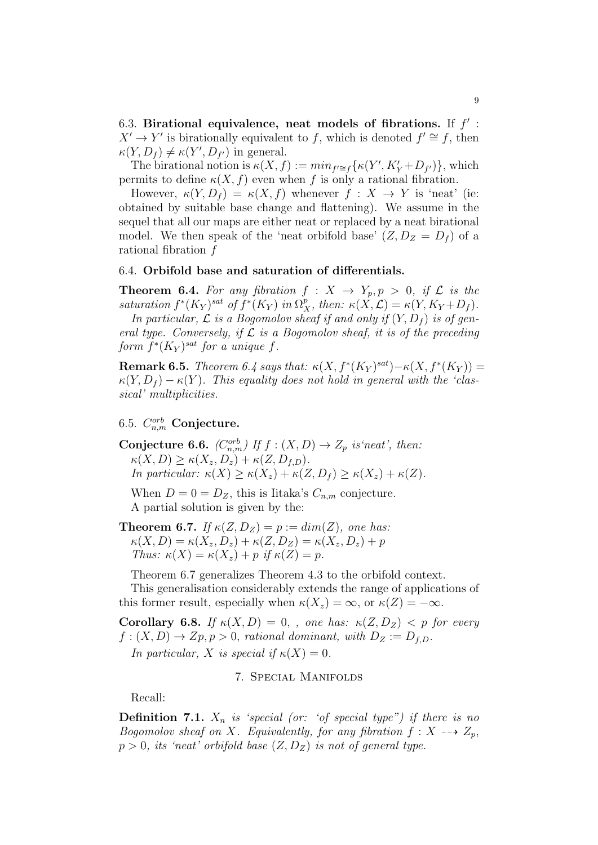6.3. Birational equivalence, neat models of fibrations. If  $f'$ :  $X' \to Y'$  is birationally equivalent to f, which is denoted  $f' \cong f$ , then  $\kappa(Y, D_f) \neq \kappa(Y', D_{f'})$  in general.

The birational notion is  $\kappa(X, f) := min_{f' \cong f} {\kappa(Y', K'_Y + D_{f'})}$ , which permits to define  $\kappa(X, f)$  even when f is only a rational fibration.

However,  $\kappa(Y, D_f) = \kappa(X, f)$  whenever  $f: X \to Y$  is 'neat' (ie: obtained by suitable base change and flattening). We assume in the sequel that all our maps are either neat or replaced by a neat birational model. We then speak of the 'neat orbifold base'  $(Z, D_Z = D_f)$  of a rational fibration f

### 6.4. Orbifold base and saturation of differentials.

**Theorem 6.4.** For any fibration  $f: X \rightarrow Y_p, p > 0$ , if  $\mathcal{L}$  is the saturation  $f^*(K_Y)^{sat}$  of  $f^*(K_Y)$  in  $\Omega_X^p$ , then:  $\kappa(X,\mathcal{L}) = \kappa(Y,K_Y+D_f)$ .

In particular,  $\mathcal L$  is a Bogomolov sheaf if and only if  $(Y, D_f)$  is of general type. Conversely, if  $\mathcal L$  is a Bogomolov sheaf, it is of the preceding form  $f^*(K_Y)^{sat}$  for a unique f.

**Remark 6.5.** Theorem 6.4 says that:  $\kappa(X, f^*(K_Y)^{sat}) - \kappa(X, f^*(K_Y)) =$  $\kappa(Y, D_f) - \kappa(Y)$ . This equality does not hold in general with the 'classical' multiplicities.

# $6.5.$   $C_{n,m}^{orb}$  Conjecture.

**Conjecture 6.6.**  $(C_{n,m}^{orb})$  If  $f : (X,D) \to Z_p$  is neat', then:  $\kappa(X, D) \geq \kappa(X_z, D_z) + \kappa(Z, D_{f,D}).$ In particular:  $\kappa(X) \geq \kappa(X_z) + \kappa(Z, D_f) \geq \kappa(X_z) + \kappa(Z).$ 

When  $D = 0 = D_Z$ , this is Iitaka's  $C_{n,m}$  conjecture. A partial solution is given by the:

**Theorem 6.7.** If  $\kappa(Z, D_Z) = p := dim(Z)$ , one has:  $\kappa(X, D) = \kappa(X_z, D_z) + \kappa(Z, D_z) = \kappa(X_z, D_z) + p$ Thus:  $\kappa(X) = \kappa(X_z) + p$  if  $\kappa(Z) = p$ .

Theorem 6.7 generalizes Theorem 4.3 to the orbifold context.

This generalisation considerably extends the range of applications of this former result, especially when  $\kappa(X_z) = \infty$ , or  $\kappa(Z) = -\infty$ .

Corollary 6.8. If  $\kappa(X, D) = 0$ , , one has:  $\kappa(Z, D_Z) < p$  for every  $f: (X, D) \to Zp, p > 0$ , rational dominant, with  $D_Z := D_{f,D}$ . In particular, X is special if  $\kappa(X) = 0$ .

### 7. Special Manifolds

Recall:

**Definition 7.1.**  $X_n$  is 'special (or: 'of special type") if there is no Bogomolov sheaf on X. Equivalently, for any fibration  $f: X \dashrightarrow Z_p$ ,  $p > 0$ , its 'neat' orbifold base  $(Z, D_Z)$  is not of general type.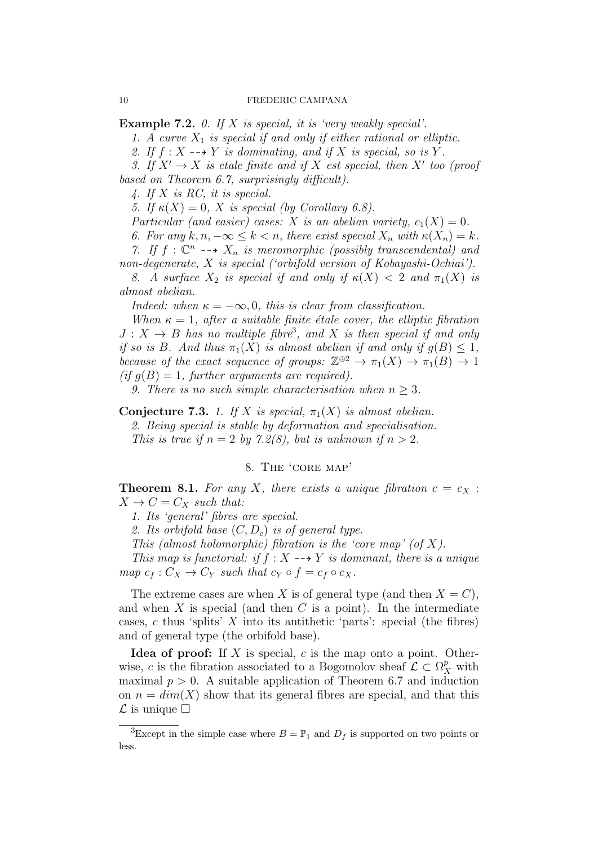**Example 7.2.** 0. If X is special, it is 'very weakly special'.

1. A curve  $X_1$  is special if and only if either rational or elliptic.

2. If  $f: X \dashrightarrow Y$  is dominating, and if X is special, so is Y.

3. If  $X' \to X$  is etale finite and if X est special, then X' too (proof based on Theorem 6.7, surprisingly difficult).

4. If X is RC, it is special.

5. If  $\kappa(X) = 0$ , X is special (by Corollary 6.8).

Particular (and easier) cases: X is an abelian variety,  $c_1(X) = 0$ .

6. For any  $k, n, -\infty \leq k < n$ , there exist special  $X_n$  with  $\kappa(X_n) = k$ .

7. If  $f: \mathbb{C}^n \dashrightarrow X_n$  is meromorphic (possibly transcendental) and non-degenerate, X is special ('orbifold version of Kobayashi-Ochiai').

8. A surface  $X_2$  is special if and only if  $\kappa(X) < 2$  and  $\pi_1(X)$  is almost abelian.

Indeed: when  $\kappa = -\infty, 0$ , this is clear from classification.

When  $\kappa = 1$ , after a suitable finite étale cover, the elliptic fibration  $J: X \to B$  has no multiple fibre<sup>3</sup>, and X is then special if and only if so is B. And thus  $\pi_1(X)$  is almost abelian if and only if  $q(B) \leq 1$ , because of the exact sequence of groups:  $\mathbb{Z}^{\oplus 2} \to \pi_1(X) \to \pi_1(B) \to 1$  $(if g(B) = 1, further arguments are required).$ 

9. There is no such simple characterisation when  $n > 3$ .

Conjecture 7.3. 1. If X is special,  $\pi_1(X)$  is almost abelian. 2. Being special is stable by deformation and specialisation. This is true if  $n = 2$  by 7.2(8), but is unknown if  $n > 2$ .

### 8. The 'core map'

**Theorem 8.1.** For any X, there exists a unique fibration  $c = c_X$ :  $X \rightarrow C = C_X$  such that:

1. Its 'general' fibres are special.

2. Its orbifold base  $(C, D_c)$  is of general type.

This (almost holomorphic) fibration is the 'core map' (of  $X$ ).

This map is functorial: if  $f: X \dashrightarrow Y$  is dominant, there is a unique map  $c_f : C_X \to C_Y$  such that  $c_Y \circ f = c_f \circ c_X$ .

The extreme cases are when X is of general type (and then  $X = C$ ). and when  $X$  is special (and then  $C$  is a point). In the intermediate cases, c thus 'splits'  $X$  into its antithetic 'parts': special (the fibres) and of general type (the orbifold base).

Idea of proof: If X is special,  $c$  is the map onto a point. Otherwise, c is the fibration associated to a Bogomolov sheaf  $\mathcal{L} \subset \Omega_X^p$  with maximal  $p > 0$ . A suitable application of Theorem 6.7 and induction on  $n = dim(X)$  show that its general fibres are special, and that this  $\mathcal L$  is unique  $\square$ 

<sup>&</sup>lt;sup>3</sup>Except in the simple case where  $B = \mathbb{P}_1$  and  $D_f$  is supported on two points or less.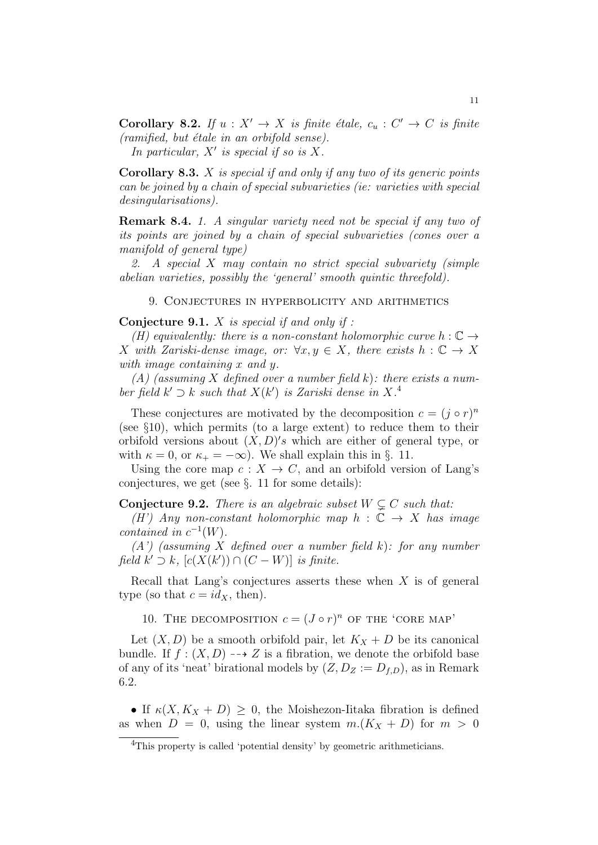**Corollary 8.2.** If  $u : X' \to X$  is finite étale,  $c_u : C' \to C$  is finite  $(ramified, but étale in an orbifold sense).$ 

In particular,  $X'$  is special if so is  $X$ .

Corollary 8.3. X is special if and only if any two of its generic points can be joined by a chain of special subvarieties (ie: varieties with special desingularisations).

Remark 8.4. 1. A singular variety need not be special if any two of its points are joined by a chain of special subvarieties (cones over a manifold of general type)

2. A special X may contain no strict special subvariety (simple abelian varieties, possibly the 'general' smooth quintic threefold).

9. Conjectures in hyperbolicity and arithmetics

**Conjecture 9.1.**  $X$  is special if and only if :

(H) equivalently: there is a non-constant holomorphic curve  $h: \mathbb{C} \rightarrow$ X with Zariski-dense image, or:  $\forall x, y \in X$ , there exists  $h : \mathbb{C} \to X$ with image containing x and y.

 $(A)$  (assuming X defined over a number field k): there exists a number field  $k' \supset k$  such that  $X(k')$  is Zariski dense in  $X^A$ .

These conjectures are motivated by the decomposition  $c = (j \circ r)^n$ (see §10), which permits (to a large extent) to reduce them to their orbifold versions about  $(X, D)'s$  which are either of general type, or with  $\kappa = 0$ , or  $\kappa_{+} = -\infty$ ). We shall explain this in §. 11.

Using the core map  $c: X \to C$ , and an orbifold version of Lang's conjectures, we get (see §. 11 for some details):

**Conjecture 9.2.** There is an algebraic subset  $W \subseteq C$  such that:

(H') Any non-constant holomorphic map  $h : \mathbb{C} \to X$  has image contained in  $c^{-1}(W)$ .

 $(A')$  (assuming X defined over a number field k): for any number field  $k' \supset k$ ,  $[c(X(k')) \cap (C - W)]$  is finite.

Recall that Lang's conjectures asserts these when  $X$  is of general type (so that  $c = id_X$ , then).

10. THE DECOMPOSITION  $c = (J \circ r)^n$  OF THE 'CORE MAP'

Let  $(X, D)$  be a smooth orbifold pair, let  $K_X + D$  be its canonical bundle. If  $f : (X, D) \longrightarrow Z$  is a fibration, we denote the orbifold base of any of its 'neat' birational models by  $(Z, D_Z := D_{f,D})$ , as in Remark 6.2.

• If  $\kappa(X, K_X + D) \geq 0$ , the Moishezon-Iitaka fibration is defined as when  $D = 0$ , using the linear system  $m.(K_X + D)$  for  $m > 0$ 

<sup>&</sup>lt;sup>4</sup>This property is called 'potential density' by geometric arithmeticians.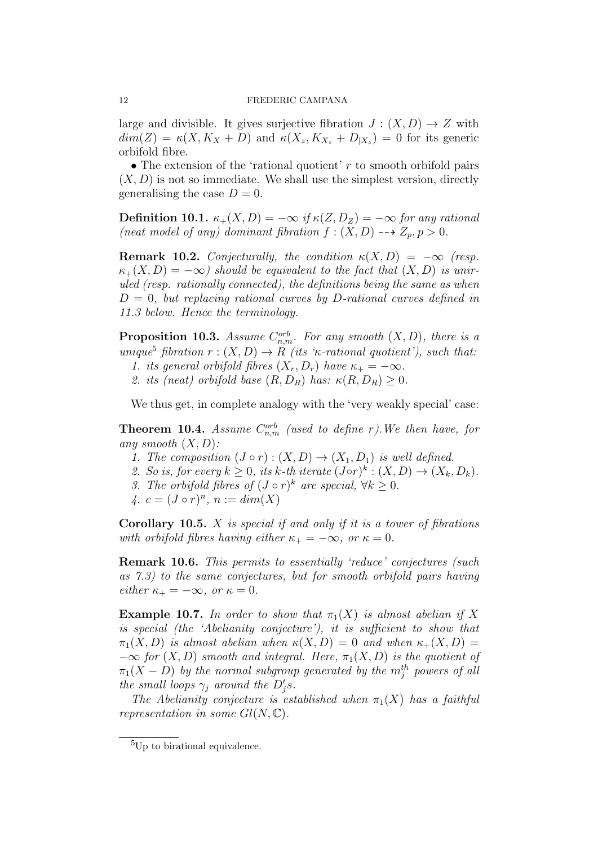large and divisible. It gives surjective fibration  $J: (X, D) \to Z$  with  $dim(Z) = \kappa(X, K_X + D)$  and  $\kappa(X_z, K_{X_z} + D_{|X_z}) = 0$  for its generic orbifold fibre.

• The extension of the 'rational quotient'  $r$  to smooth orbifold pairs  $(X, D)$  is not so immediate. We shall use the simplest version, directly generalising the case  $D = 0$ .

Definition 10.1.  $\kappa_+(X,D) = -\infty$  if  $\kappa(Z,D_Z) = -\infty$  for any rational (neat model of any) dominant fibration  $f : (X, D) \longrightarrow Z_p, p > 0$ .

**Remark 10.2.** Conjecturally, the condition  $\kappa(X, D) = -\infty$  (resp.  $\kappa_+(X,D) = -\infty$ ) should be equivalent to the fact that  $(X,D)$  is uniruled (resp. rationally connected), the definitions being the same as when  $D = 0$ , but replacing rational curves by D-rational curves defined in 11.3 below. Hence the terminology.

**Proposition 10.3.** Assume  $C_{n,m}^{orb}$ . For any smooth  $(X, D)$ , there is a unique<sup>5</sup> fibration  $r:(X,D) \to R$  (its ' $\kappa$ -rational quotient'), such that:

1. its general orbifold fibres  $(X_r, D_r)$  have  $\kappa_+ = -\infty$ .

2. its (neat) orbifold base  $(R, D_R)$  has:  $\kappa(R, D_R) \geq 0$ .

We thus get, in complete analogy with the 'very weakly special' case:

**Theorem 10.4.** Assume  $C_{n,m}^{orb}$  (used to define r). We then have, for any smooth  $(X, D)$ :

- 1. The composition  $(J \circ r) : (X, D) \to (X_1, D_1)$  is well defined.
- 2. So is, for every  $k \geq 0$ , its k-th iterate  $(J \circ r)^k : (X, D) \to (X_k, D_k)$ .
- 3. The orbifold fibres of  $(J \circ r)^k$  are special,  $\forall k \geq 0$ .

4.  $c = (J \circ r)^n$ ,  $n := dim(X)$ 

**Corollary 10.5.**  $X$  is special if and only if it is a tower of fibrations with orbifold fibres having either  $\kappa_{+} = -\infty$ , or  $\kappa = 0$ .

Remark 10.6. This permits to essentially 'reduce' conjectures (such as 7.3) to the same conjectures, but for smooth orbifold pairs having either  $\kappa_+ = -\infty$ , or  $\kappa = 0$ .

**Example 10.7.** In order to show that  $\pi_1(X)$  is almost abelian if X is special (the 'Abelianity conjecture'), it is sufficient to show that  $\pi_1(X, D)$  is almost abelian when  $\kappa(X, D) = 0$  and when  $\kappa_+(X, D) = 0$  $-\infty$  for  $(X, D)$  smooth and integral. Here,  $\pi_1(X, D)$  is the quotient of  $\pi_1(X-D)$  by the normal subgroup generated by the  $m^{th}_j$  powers of all the small loops  $\gamma_j$  around the  $D'_j s$ .

The Abelianity conjecture is established when  $\pi_1(X)$  has a faithful representation in some  $Gl(N,\mathbb{C})$ .

<sup>&</sup>lt;sup>5</sup>Up to birational equivalence.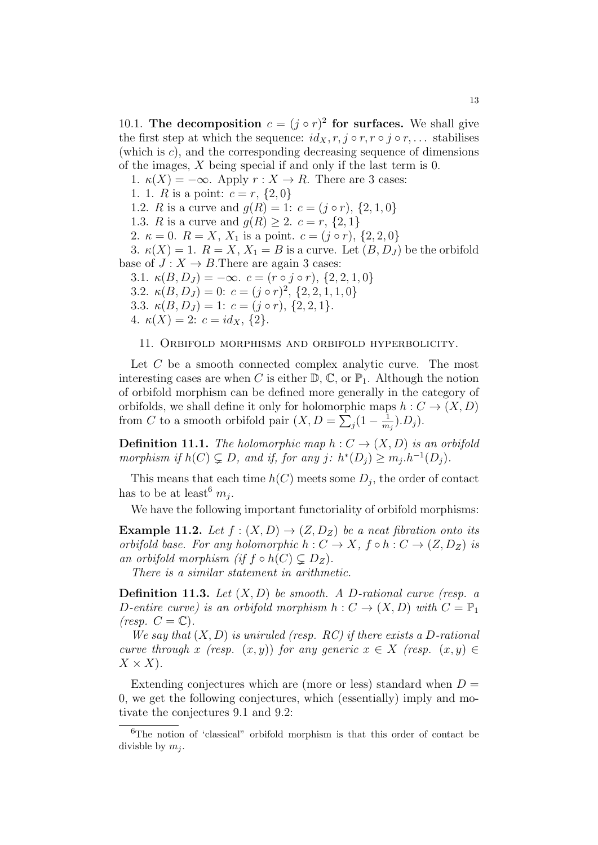10.1. The decomposition  $c = (j \circ r)^2$  for surfaces. We shall give the first step at which the sequence:  $id_X, r, j \circ r, r \circ j \circ r, \ldots$  stabilises (which is  $c$ ), and the corresponding decreasing sequence of dimensions of the images, X being special if and only if the last term is 0.

1.  $\kappa(X) = -\infty$ . Apply  $r : X \to R$ . There are 3 cases: 1. 1. R is a point:  $c = r$ ,  $\{2, 0\}$ 1.2. R is a curve and  $g(R) = 1: c = (j \circ r), \{2, 1, 0\}$ 1.3. *R* is a curve and  $g(R) \ge 2$ .  $c = r, \{2, 1\}$ 2.  $\kappa = 0$ .  $R = X$ ,  $X_1$  is a point.  $c = (j \circ r)$ ,  $\{2, 2, 0\}$ 3.  $\kappa(X) = 1$ .  $R = X$ ,  $X_1 = B$  is a curve. Let  $(B, D<sub>J</sub>)$  be the orbifold base of  $J: X \to B$ . There are again 3 cases: 3.1.  $\kappa(B, D_J) = -\infty$ .  $c = (r \circ j \circ r), \{2, 2, 1, 0\}$ 3.2.  $\kappa(B, D_J) = 0$ :  $c = (j \circ r)^2$ ,  $\{2, 2, 1, 1, 0\}$ 3.3.  $\kappa(B, D_J) = 1: c = (j \circ r), \{2, 2, 1\}.$ 4.  $\kappa(X) = 2$ :  $c = id_X$ ,  $\{2\}$ .

#### 11. Orbifold morphisms and orbifold hyperbolicity.

Let C be a smooth connected complex analytic curve. The most interesting cases are when C is either  $\mathbb{D}, \mathbb{C},$  or  $\mathbb{P}_1$ . Although the notion of orbifold morphism can be defined more generally in the category of orbifolds, we shall define it only for holomorphic maps  $h: C \to (X, D)$ from C to a smooth orbifold pair  $(X, D = \sum_j (1 - \frac{1}{m})$  $\frac{1}{m_j}$ ). $D_j$ ).

**Definition 11.1.** The holomorphic map  $h: C \rightarrow (X, D)$  is an orbifold morphism if  $h(C) \subsetneq D$ , and if, for any j:  $h^*(D_j) \geq m_j \cdot h^{-1}(D_j)$ .

This means that each time  $h(C)$  meets some  $D_j$ , the order of contact has to be at least<sup>6</sup>  $m_j$ .

We have the following important functoriality of orbifold morphisms:

**Example 11.2.** Let  $f : (X, D) \rightarrow (Z, D_Z)$  be a neat fibration onto its orbifold base. For any holomorphic  $h: C \to X$ ,  $f \circ h: C \to (Z, D_Z)$  is an orbifold morphism (if  $f \circ h(C) \subsetneq D_Z$ ).

There is a similar statement in arithmetic.

**Definition 11.3.** Let  $(X, D)$  be smooth. A D-rational curve (resp. a D-entire curve) is an orbifold morphism  $h: C \to (X, D)$  with  $C = \mathbb{P}_1$ (resp.  $C = \mathbb{C}$ ).

We say that  $(X, D)$  is uniruled (resp. RC) if there exists a D-rational curve through x (resp.  $(x, y)$ ) for any generic  $x \in X$  (resp.  $(x, y) \in$  $X \times X$ ).

Extending conjectures which are (more or less) standard when  $D =$ 0, we get the following conjectures, which (essentially) imply and motivate the conjectures 9.1 and 9.2:

<sup>6</sup>The notion of 'classical" orbifold morphism is that this order of contact be divisble by  $m_i$ .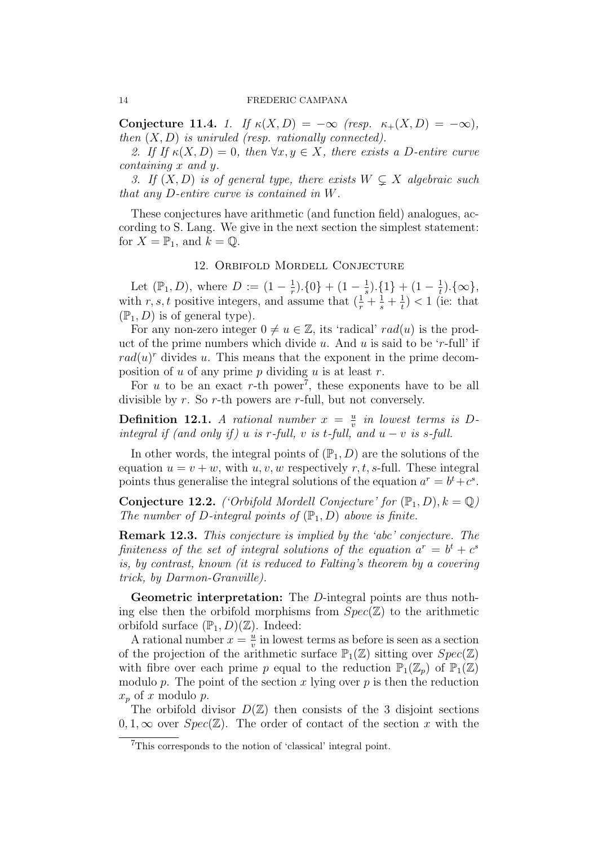Conjecture 11.4. 1. If  $\kappa(X, D) = -\infty$  (resp.  $\kappa_+(X, D) = -\infty$ ), then  $(X, D)$  is uniruled (resp. rationally connected).

2. If If  $\kappa(X,D) = 0$ , then  $\forall x, y \in X$ , there exists a D-entire curve containing x and y.

3. If  $(X, D)$  is of general type, there exists  $W \subsetneq X$  algebraic such that any D-entire curve is contained in W.

These conjectures have arithmetic (and function field) analogues, according to S. Lang. We give in the next section the simplest statement: for  $X = \mathbb{P}_1$ , and  $k = \mathbb{Q}$ .

### 12. Orbifold Mordell Conjecture

Let  $(\mathbb{P}_1, D)$ , where  $D := (1 - \frac{1}{r})$  $(\frac{1}{r}).\{0\} + (1 - \frac{1}{s})$  $(\frac{1}{s}).\{1\} + (1 - \frac{1}{t})$  $\frac{1}{t}$ ). $\{\infty\},$ with r, s, t positive integers, and assume that  $\left(\frac{1}{r} + \frac{1}{s} + \frac{1}{t}\right)$  $(\frac{1}{t})$  < 1 (ie: that  $(\mathbb{P}_1, D)$  is of general type).

For any non-zero integer  $0 \neq u \in \mathbb{Z}$ , its 'radical' rad(u) is the product of the prime numbers which divide u. And u is said to be 'r-full' if  $rad(u)<sup>r</sup>$  divides u. This means that the exponent in the prime decomposition of u of any prime p dividing u is at least r.

For  $u$  to be an exact r-th power<sup>7</sup>, these exponents have to be all divisible by  $r$ . So  $r$ -th powers are  $r$ -full, but not conversely.

**Definition 12.1.** A rational number  $x = \frac{u}{v}$  $\frac{u}{v}$  in lowest terms is Dintegral if (and only if) u is r-full, v is t-full, and  $u - v$  is s-full.

In other words, the integral points of  $(\mathbb{P}_1, D)$  are the solutions of the equation  $u = v + w$ , with  $u, v, w$  respectively r, t, s-full. These integral points thus generalise the integral solutions of the equation  $a^r = b^t + c^s$ .

**Conjecture 12.2.** ('Orbifold Mordell Conjecture' for  $(\mathbb{P}_1, D), k = \mathbb{Q}$ ) The number of D-integral points of  $(\mathbb{P}_1, D)$  above is finite.

Remark 12.3. This conjecture is implied by the 'abc' conjecture. The finiteness of the set of integral solutions of the equation  $a^r = b^t + c^s$ is, by contrast, known (it is reduced to Falting's theorem by a covering trick, by Darmon-Granville).

Geometric interpretation: The D-integral points are thus nothing else then the orbifold morphisms from  $Spec(\mathbb{Z})$  to the arithmetic orbifold surface  $(\mathbb{P}_1, D)(\mathbb{Z})$ . Indeed:

A rational number  $x = \frac{u}{v}$  $\frac{u}{v}$  in lowest terms as before is seen as a section of the projection of the arithmetic surface  $\mathbb{P}_1(\mathbb{Z})$  sitting over  $Spec(\mathbb{Z})$ with fibre over each prime p equal to the reduction  $\mathbb{P}_1(\mathbb{Z}_p)$  of  $\mathbb{P}_1(\mathbb{Z})$ modulo  $p$ . The point of the section  $x$  lying over  $p$  is then the reduction  $x_p$  of x modulo p.

The orbifold divisor  $D(\mathbb{Z})$  then consists of the 3 disjoint sections  $0, 1, \infty$  over  $Spec(\mathbb{Z})$ . The order of contact of the section x with the

<sup>7</sup>This corresponds to the notion of 'classical' integral point.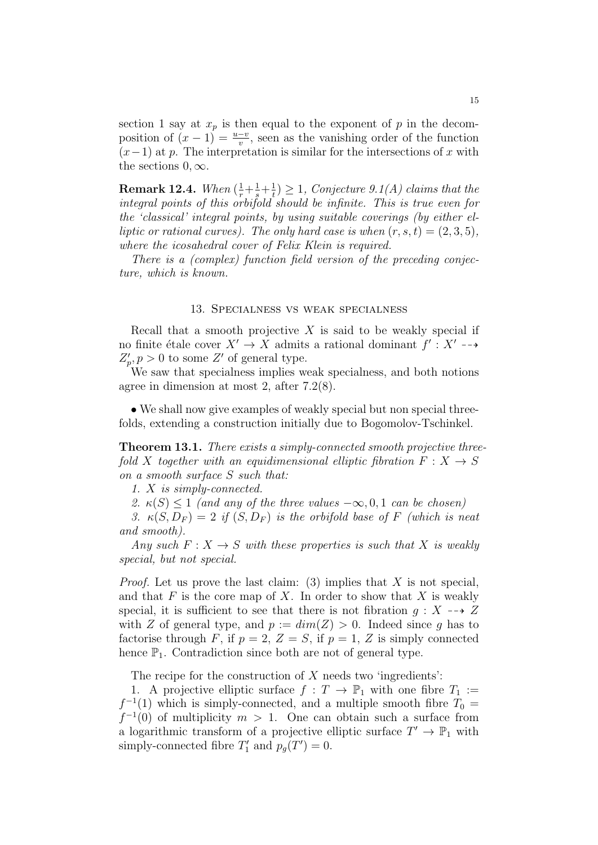section 1 say at  $x_p$  is then equal to the exponent of p in the decomposition of  $(x-1) = \frac{u-v}{v}$ , seen as the vanishing order of the function  $(x-1)$  at p. The interpretation is similar for the intersections of x with the sections  $0, \infty$ .

**Remark 12.4.** When  $\left(\frac{1}{r}+\frac{1}{s}+\frac{1}{t}\right)$  $\frac{1}{t}$ )  $\geq$  1, Conjecture 9.1(A) claims that the integral points of this orbifold should be infinite. This is true even for the 'classical' integral points, by using suitable coverings (by either elliptic or rational curves). The only hard case is when  $(r, s, t) = (2, 3, 5)$ , where the icosahedral cover of Felix Klein is required.

There is a (complex) function field version of the preceding conjecture, which is known.

#### 13. Specialness vs weak specialness

Recall that a smooth projective  $X$  is said to be weakly special if no finite étale cover  $X' \to X$  admits a rational dominant  $f' : X' \dashrightarrow$  $Z'_p, p > 0$  to some Z' of general type.

We saw that specialness implies weak specialness, and both notions agree in dimension at most 2, after 7.2(8).

• We shall now give examples of weakly special but non special threefolds, extending a construction initially due to Bogomolov-Tschinkel.

Theorem 13.1. There exists a simply-connected smooth projective threefold X together with an equidimensional elliptic fibration  $F: X \rightarrow S$ on a smooth surface S such that:

1. X is simply-connected.

2.  $\kappa(S) \leq 1$  (and any of the three values  $-\infty, 0, 1$  can be chosen)

3.  $\kappa(S, D_F) = 2$  if  $(S, D_F)$  is the orbifold base of F (which is neat and smooth).

Any such  $F: X \to S$  with these properties is such that X is weakly special, but not special.

*Proof.* Let us prove the last claim: (3) implies that X is not special, and that  $F$  is the core map of  $X$ . In order to show that  $X$  is weakly special, it is sufficient to see that there is not fibration  $q: X \dashrightarrow Z$ with Z of general type, and  $p := dim(Z) > 0$ . Indeed since q has to factorise through F, if  $p = 2$ ,  $Z = S$ , if  $p = 1$ , Z is simply connected hence  $\mathbb{P}_1$ . Contradiction since both are not of general type.

The recipe for the construction of  $X$  needs two 'ingredients':

1. A projective elliptic surface  $f: T \to \mathbb{P}_1$  with one fibre  $T_1 :=$  $f^{-1}(1)$  which is simply-connected, and a multiple smooth fibre  $T_0 =$  $f^{-1}(0)$  of multiplicity  $m > 1$ . One can obtain such a surface from a logarithmic transform of a projective elliptic surface  $T' \to \mathbb{P}_1$  with simply-connected fibre  $T'_1$  and  $p_g(T') = 0$ .